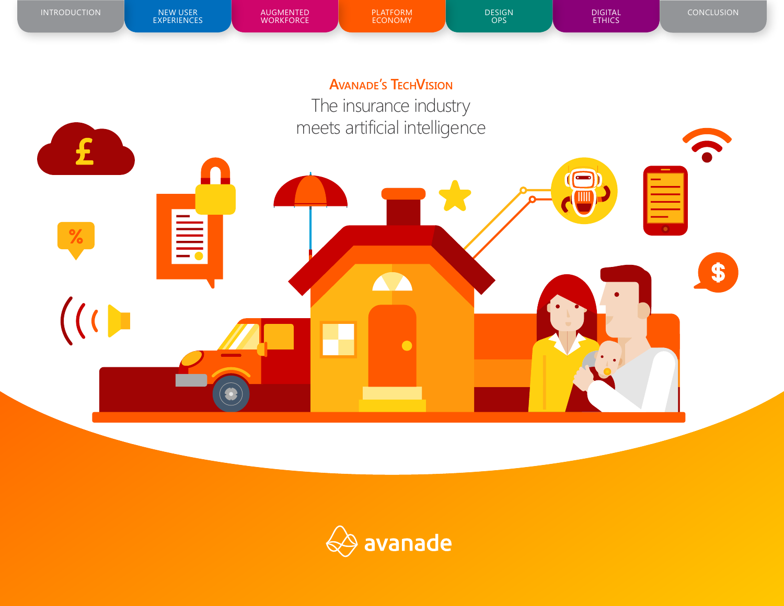

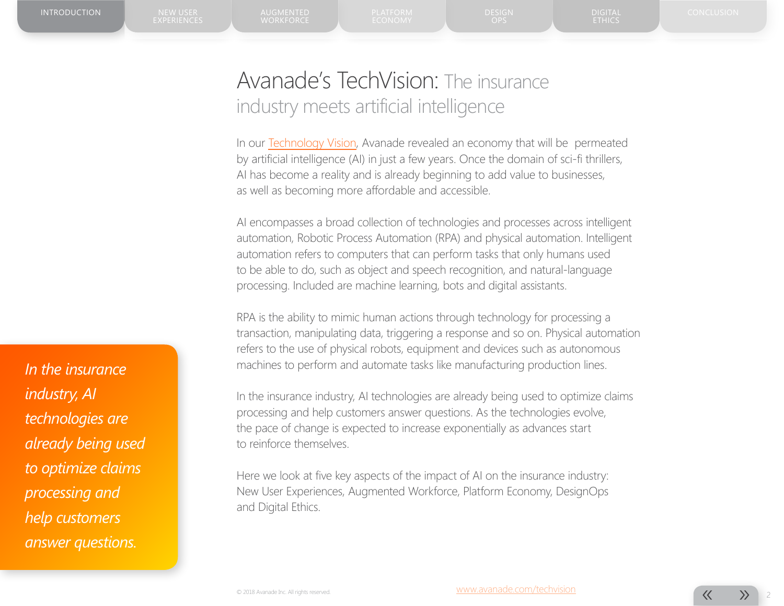# Avanade's TechVision: The insurance industry meets artificial intelligence

In our [Technology Vision,](https://innovation.showcase.avanade.com/techvision2017/) Avanade revealed an economy that will be permeated by artificial intelligence (AI) in just a few years. Once the domain of sci-fi thrillers, AI has become a reality and is already beginning to add value to businesses, as well as becoming more affordable and accessible.

AI encompasses a broad collection of technologies and processes across intelligent automation, Robotic Process Automation (RPA) and physical automation. Intelligent automation refers to computers that can perform tasks that only humans used to be able to do, such as object and speech recognition, and natural-language processing. Included are machine learning, bots and digital assistants.

RPA is the ability to mimic human actions through technology for processing a transaction, manipulating data, triggering a response and so on. Physical automation refers to the use of physical robots, equipment and devices such as autonomous machines to perform and automate tasks like manufacturing production lines.

In the insurance industry, AI technologies are already being used to optimize claims processing and help customers answer questions. As the technologies evolve, the pace of change is expected to increase exponentially as advances start to reinforce themselves.

Here we look at five key aspects of the impact of AI on the insurance industry: New User Experiences, Augmented Workforce, Platform Economy, DesignOps and Digital Ethics.

*In the insurance industry, AI technologies are already being used to optimize claims processing and help customers answer questions.*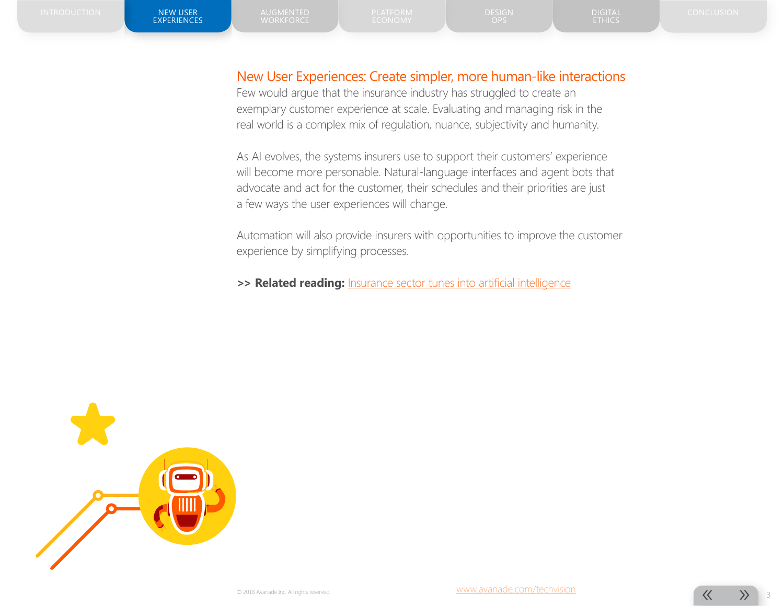#### New User Experiences: Create simpler, more human-like interactions

Few would argue that the insurance industry has struggled to create an exemplary customer experience at scale. Evaluating and managing risk in the real world is a complex mix of regulation, nuance, subjectivity and humanity.

As AI evolves, the systems insurers use to support their customers' experience will become more personable. Natural-language interfaces and agent bots that advocate and act for the customer, their schedules and their priorities are just a few ways the user experiences will change.

Automation will also provide insurers with opportunities to improve the customer experience by simplifying processes.

**>> Related reading:** [Insurance sector tunes into artificial intelligence](https://www.google.com/url?sa=t&rct=j&q=&esrc=s&source=web&cd=8&cad=rja&uact=8&ved=0ahUKEwij7vG-1qTUAhVJ4YMKHfDrCq0QFghoMAc&url=https%3A%2F%2Fwww.ft.com%2Fcontent%2Fa0d9aa8a-1494-11e7-80f4-13e067d5072c&usg=AFQjCNEaBClotzbs7p2TIRHoNR_sQYBN0A&sig2=f6xCGUx-e5GbOR-Yk5RFuA)

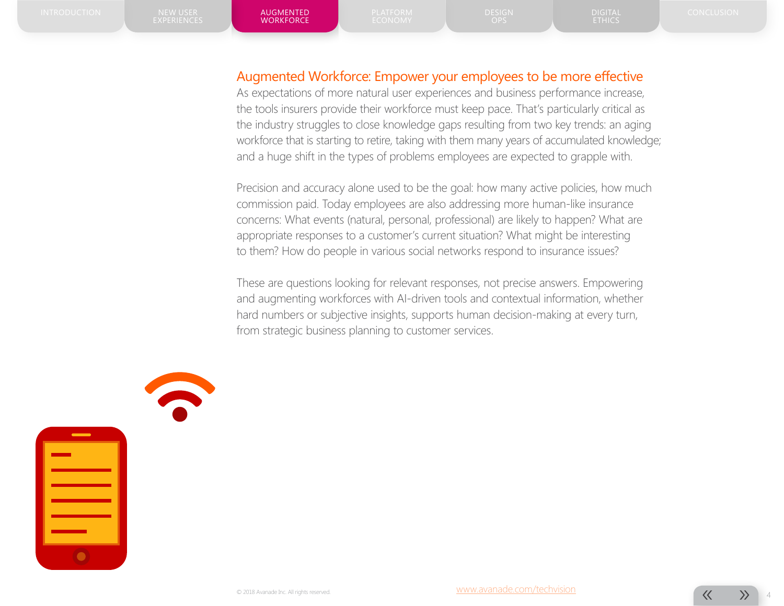**WORKFORCE** 

ETHICS

#### Augmented Workforce: Empower your employees to be more effective

As expectations of more natural user experiences and business performance increase, the tools insurers provide their workforce must keep pace. That's particularly critical as the industry struggles to close knowledge gaps resulting from two key trends: an aging workforce that is starting to retire, taking with them many years of accumulated knowledge; and a huge shift in the types of problems employees are expected to grapple with.

Precision and accuracy alone used to be the goal: how many active policies, how much commission paid. Today employees are also addressing more human-like insurance concerns: What events (natural, personal, professional) are likely to happen? What are appropriate responses to a customer's current situation? What might be interesting to them? How do people in various social networks respond to insurance issues?

These are questions looking for relevant responses, not precise answers. Empowering and augmenting workforces with AI-driven tools and contextual information, whether hard numbers or subjective insights, supports human decision-making at every turn, from strategic business planning to customer services.

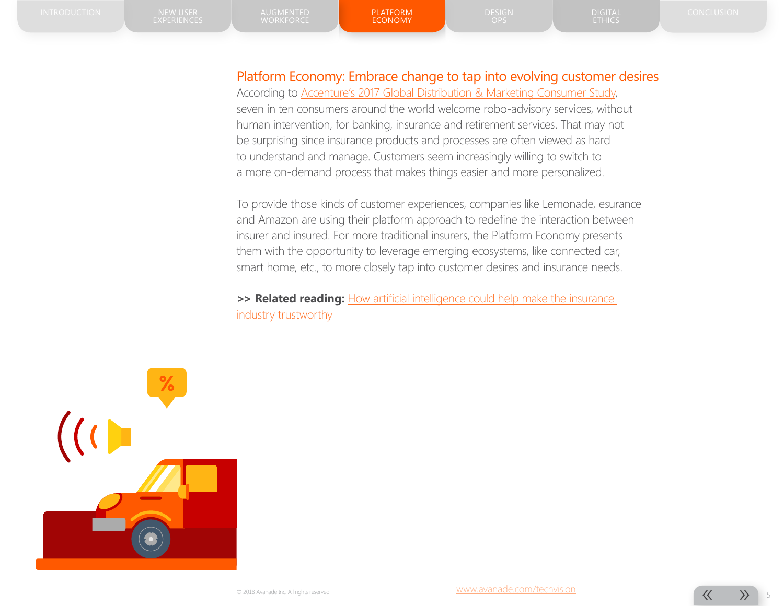### Platform Economy: Embrace change to tap into evolving customer desires

According to [Accenture's 2017 Global Distribution & Marketing Consumer Study](https://www.accenture.com/us-en/insight-financial-services-distribution-marketing-consumer-study), seven in ten consumers around the world welcome robo-advisory services, without human intervention, for banking, insurance and retirement services. That may not be surprising since insurance products and processes are often viewed as hard to understand and manage. Customers seem increasingly willing to switch to a more on-demand process that makes things easier and more personalized.

To provide those kinds of customer experiences, companies like Lemonade, esurance and Amazon are using their platform approach to redefine the interaction between insurer and insured. For more traditional insurers, the Platform Economy presents them with the opportunity to leverage emerging ecosystems, like connected car, smart home, etc., to more closely tap into customer desires and insurance needs.

>> **Related reading:** [How artificial intelligence could help make the insurance](https://www.theguardian.com/sustainable-business/2017/jan/28/insurance-company-lemonde-claims) [industry trustworthy](https://www.theguardian.com/sustainable-business/2017/jan/28/insurance-company-lemonde-claims)

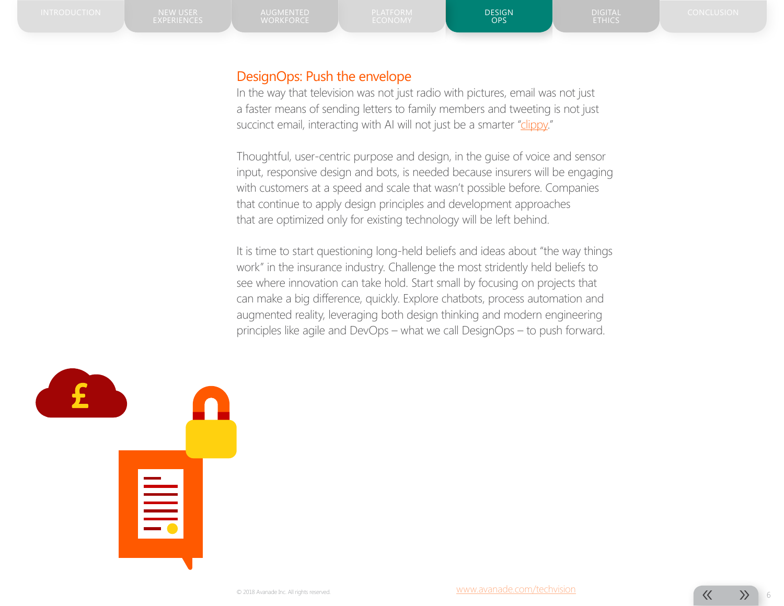ETHICS

#### DesignOps: Push the envelope

In the way that television was not just radio with pictures, email was not just a faster means of sending letters to family members and tweeting is not just succinct email, interacting with AI will not just be a smarter "[clippy](https://www.youtube.com/watch?v=a-hiV0Bj49w)."

Thoughtful, user-centric purpose and design, in the guise of voice and sensor input, responsive design and bots, is needed because insurers will be engaging with customers at a speed and scale that wasn't possible before. Companies that continue to apply design principles and development approaches that are optimized only for existing technology will be left behind.

It is time to start questioning long-held beliefs and ideas about "the way things work" in the insurance industry. Challenge the most stridently held beliefs to see where innovation can take hold. Start small by focusing on projects that can make a big difference, quickly. Explore chatbots, process automation and augmented reality, leveraging both design thinking and modern engineering principles like agile and DevOps – what we call DesignOps – to push forward.

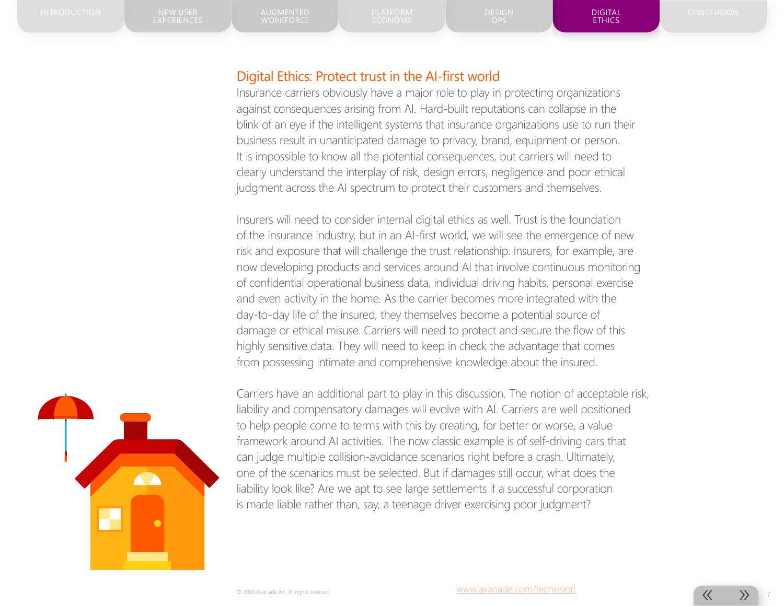DIGITAL ETHICS

#### Digital Ethics: Protect trust in the AI-first world

Insurance carriers obviously have a major role to play in protecting organizations against consequences arising from AI. Hard-built reputations can collapse in the blink of an eye if the intelligent systems that insurance organizations use to run their business result in unanticipated damage to privacy, brand, equipment or person. It is impossible to know all the potential consequences, but carriers will need to clearly understand the interplay of risk, design errors, negligence and poor ethical judgment across the AI spectrum to protect their customers and themselves.

Insurers will need to consider internal digital ethics as well. Trust is the foundation of the insurance industry, but in an AI-first world, we will see the emergence of new risk and exposure that will challenge the trust relationship. Insurers, for example, are now developing products and services around AI that involve continuous monitoring of confidential operational business data, individual driving habits, personal exercise and even activity in the home. As the carrier becomes more integrated with the day-to-day life of the insured, they themselves become a potential source of damage or ethical misuse. Carriers will need to protect and secure the flow of this highly sensitive data. They will need to keep in check the advantage that comes from possessing intimate and comprehensive knowledge about the insured.



Carriers have an additional part to play in this discussion. The notion of acceptable risk, liability and compensatory damages will evolve with AI. Carriers are well positioned to help people come to terms with this by creating, for better or worse, a value framework around AI activities. The now classic example is of self-driving cars that can judge multiple collision-avoidance scenarios right before a crash. Ultimately, one of the scenarios must be selected. But if damages still occur, what does the liability look like? Are we apt to see large settlements if a successful corporation is made liable rather than, say, a teenage driver exercising poor judgment?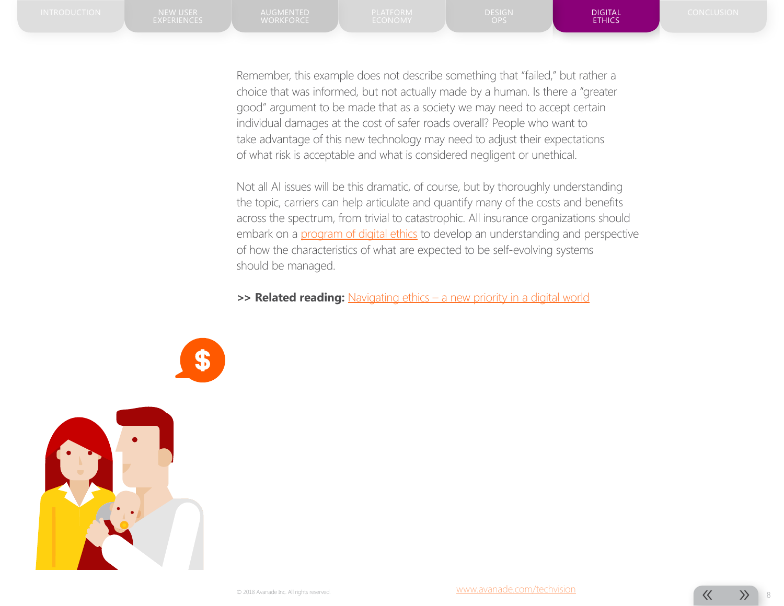Remember, this example does not describe something that "failed," but rather a choice that was informed, but not actually made by a human. Is there a "greater good" argument to be made that as a society we may need to accept certain individual damages at the cost of safer roads overall? People who want to take advantage of this new technology may need to adjust their expectations of what risk is acceptable and what is considered negligent or unethical.

Not all AI issues will be this dramatic, of course, but by thoroughly understanding the topic, carriers can help articulate and quantify many of the costs and benefits across the spectrum, from trivial to catastrophic. All insurance organizations should embark on a [program of digital ethics](https://www.avanade.com/~/media/asset/point-of-view/navigating-ethics-in-digital-world-pov.pdf) to develop an understanding and perspective of how the characteristics of what are expected to be self-evolving systems should be managed.

**>> Related reading:** [Navigating ethics – a new priority in a digital world](https://www.avanade.com/~/media/asset/point-of-view/navigating-ethics-in-digital-world-pov.pdf)